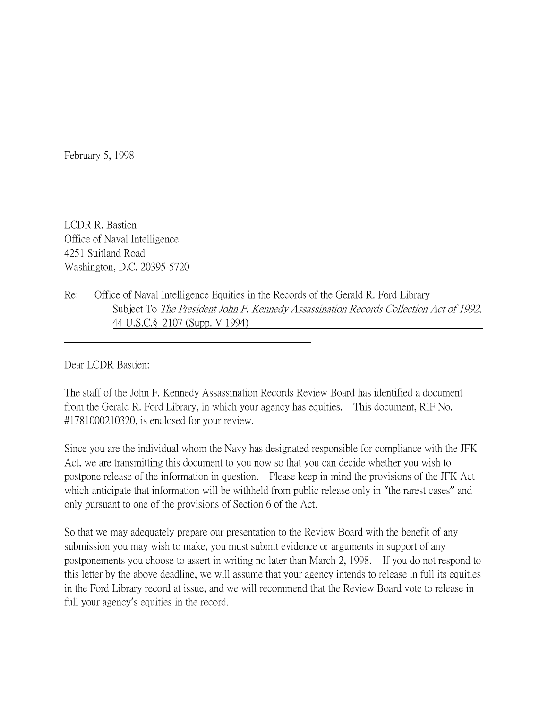February 5, 1998

LCDR R. Bastien Office of Naval Intelligence 4251 Suitland Road Washington, D.C. 20395-5720

Re: Office of Naval Intelligence Equities in the Records of the Gerald R. Ford Library Subject To The President John F. Kennedy Assassination Records Collection Act of 1992, 44 U.S.C.§ 2107 (Supp. V 1994)

Dear LCDR Bastien:

The staff of the John F. Kennedy Assassination Records Review Board has identified a document from the Gerald R. Ford Library, in which your agency has equities. This document, RIF No. #1781000210320, is enclosed for your review.

Since you are the individual whom the Navy has designated responsible for compliance with the JFK Act, we are transmitting this document to you now so that you can decide whether you wish to postpone release of the information in question. Please keep in mind the provisions of the JFK Act which anticipate that information will be withheld from public release only in "the rarest cases" and only pursuant to one of the provisions of Section 6 of the Act.

So that we may adequately prepare our presentation to the Review Board with the benefit of any submission you may wish to make, you must submit evidence or arguments in support of any postponements you choose to assert in writing no later than March 2, 1998. If you do not respond to this letter by the above deadline, we will assume that your agency intends to release in full its equities in the Ford Library record at issue, and we will recommend that the Review Board vote to release in full your agency's equities in the record.